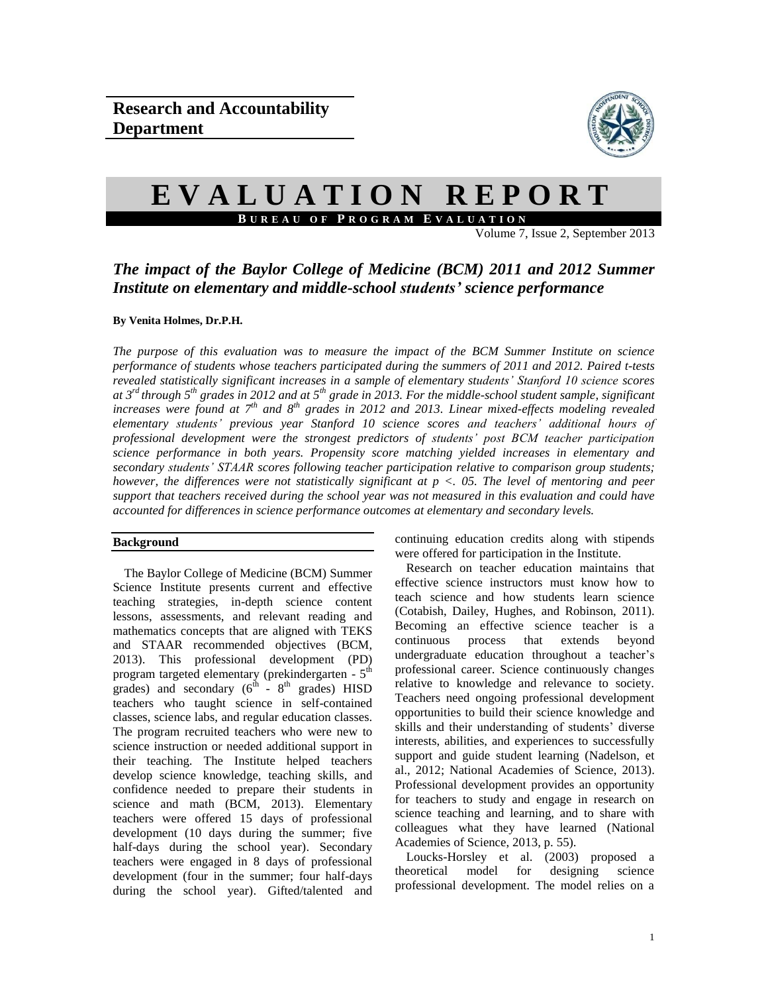

# **E V A L U A T I O N R E P O R T B U R E A U O F P R O G R A M E V A L U A T I O N**

Volume 7, Issue 2, September 2013

# *The impact of the Baylor College of Medicine (BCM) 2011 and 2012 Summer Institute on elementary and middle-school students' science performance*

#### **By Venita Holmes, Dr.P.H.**

*The purpose of this evaluation was to measure the impact of the BCM Summer Institute on science performance of students whose teachers participated during the summers of 2011 and 2012. Paired t-tests revealed statistically significant increases in a sample of elementary students' Stanford 10 science scores at 3 rd through 5th grades in 2012 and at 5th grade in 2013. For the middle-school student sample, significant increases were found at 7th and 8th grades in 2012 and 2013. Linear mixed-effects modeling revealed elementary students' previous year Stanford 10 science scores and teachers' additional hours of professional development were the strongest predictors of students' post BCM teacher participation science performance in both years. Propensity score matching yielded increases in elementary and secondary students' STAAR scores following teacher participation relative to comparison group students; however, the differences were not statistically significant at p <. 05. The level of mentoring and peer support that teachers received during the school year was not measured in this evaluation and could have accounted for differences in science performance outcomes at elementary and secondary levels.*

#### **Background**

The Baylor College of Medicine (BCM) Summer Science Institute presents current and effective teaching strategies, in-depth science content lessons, assessments, and relevant reading and mathematics concepts that are aligned with TEKS and STAAR recommended objectives (BCM, 2013). This professional development (PD) program targeted elementary (prekindergarten - 5<sup>th</sup> grades) and secondary  $(6^{th} - 8^{th} \text{ grades})$  HISD teachers who taught science in self-contained classes, science labs, and regular education classes. The program recruited teachers who were new to science instruction or needed additional support in their teaching. The Institute helped teachers develop science knowledge, teaching skills, and confidence needed to prepare their students in science and math (BCM, 2013). Elementary teachers were offered 15 days of professional development (10 days during the summer; five half-days during the school year). Secondary teachers were engaged in 8 days of professional development (four in the summer; four half-days during the school year). Gifted/talented and continuing education credits along with stipends were offered for participation in the Institute.

Research on teacher education maintains that effective science instructors must know how to teach science and how students learn science (Cotabish, Dailey, Hughes, and Robinson, 2011). Becoming an effective science teacher is a continuous process that extends beyond undergraduate education throughout a teacher's professional career. Science continuously changes relative to knowledge and relevance to society. Teachers need ongoing professional development opportunities to build their science knowledge and skills and their understanding of students' diverse interests, abilities, and experiences to successfully support and guide student learning (Nadelson, et al., 2012; National Academies of Science, 2013). Professional development provides an opportunity for teachers to study and engage in research on science teaching and learning, and to share with colleagues what they have learned (National Academies of Science, 2013, p. 55).

Loucks-Horsley et al. (2003) proposed a theoretical model for designing science professional development. The model relies on a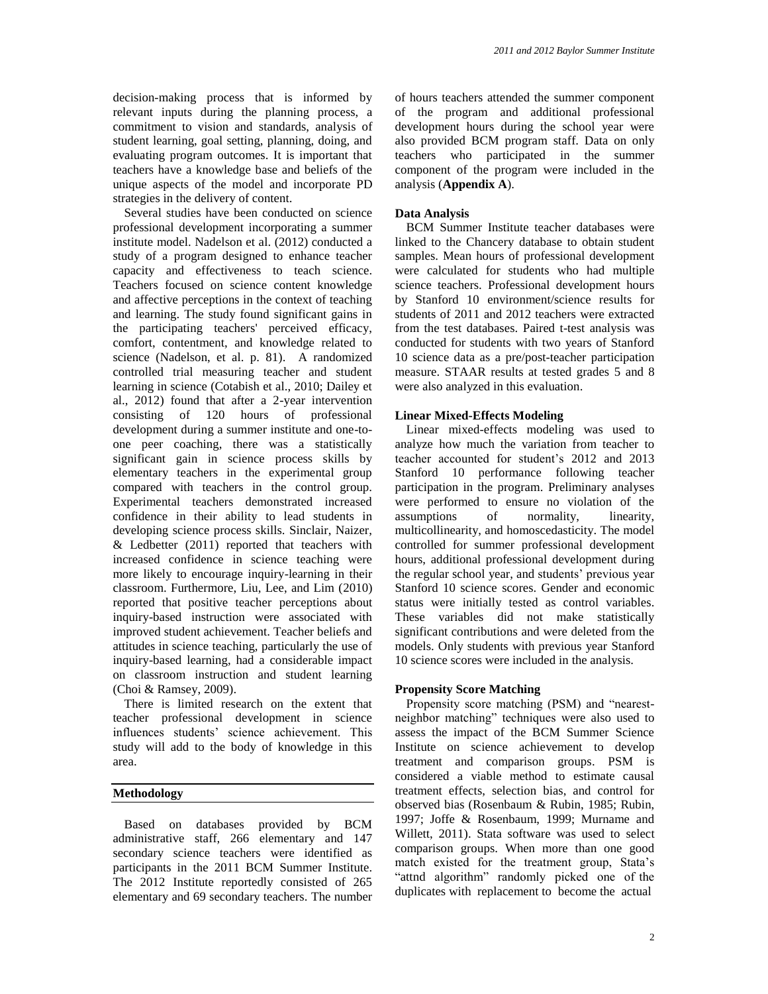decision-making process that is informed by relevant inputs during the planning process, a commitment to vision and standards, analysis of student learning, goal setting, planning, doing, and evaluating program outcomes. It is important that teachers have a knowledge base and beliefs of the unique aspects of the model and incorporate PD strategies in the delivery of content.

Several studies have been conducted on science professional development incorporating a summer institute model. Nadelson et al. (2012) conducted a study of a program designed to enhance teacher capacity and effectiveness to teach science. Teachers focused on science content knowledge and affective perceptions in the context of teaching and learning. The study found significant gains in the participating teachers' perceived efficacy, comfort, contentment, and knowledge related to science (Nadelson, et al. p. 81). A randomized controlled trial measuring teacher and student learning in science (Cotabish et al., 2010; Dailey et al., 2012) found that after a 2-year intervention consisting of 120 hours of professional development during a summer institute and one-toone peer coaching, there was a statistically significant gain in science process skills by elementary teachers in the experimental group compared with teachers in the control group. Experimental teachers demonstrated increased confidence in their ability to lead students in developing science process skills. Sinclair, Naizer, & Ledbetter (2011) reported that teachers with increased confidence in science teaching were more likely to encourage inquiry-learning in their classroom. Furthermore, Liu, Lee, and Lim (2010) reported that positive teacher perceptions about inquiry-based instruction were associated with improved student achievement. Teacher beliefs and attitudes in science teaching, particularly the use of inquiry-based learning, had a considerable impact on classroom instruction and student learning (Choi & Ramsey, 2009).

There is limited research on the extent that teacher professional development in science influences students' science achievement. This study will add to the body of knowledge in this area.

#### **Methodology**

Based on databases provided by BCM administrative staff, 266 elementary and 147 secondary science teachers were identified as participants in the 2011 BCM Summer Institute. The 2012 Institute reportedly consisted of 265 elementary and 69 secondary teachers. The number of hours teachers attended the summer component of the program and additional professional development hours during the school year were also provided BCM program staff. Data on only teachers who participated in the summer component of the program were included in the analysis (**Appendix A**).

#### **Data Analysis**

BCM Summer Institute teacher databases were linked to the Chancery database to obtain student samples. Mean hours of professional development were calculated for students who had multiple science teachers. Professional development hours by Stanford 10 environment/science results for students of 2011 and 2012 teachers were extracted from the test databases. Paired t-test analysis was conducted for students with two years of Stanford 10 science data as a pre/post-teacher participation measure. STAAR results at tested grades 5 and 8 were also analyzed in this evaluation.

#### **Linear Mixed-Effects Modeling**

Linear mixed-effects modeling was used to analyze how much the variation from teacher to teacher accounted for student's 2012 and 2013 Stanford 10 performance following teacher participation in the program. Preliminary analyses were performed to ensure no violation of the assumptions of normality, linearity, multicollinearity, and homoscedasticity. The model controlled for summer professional development hours, additional professional development during the regular school year, and students' previous year Stanford 10 science scores. Gender and economic status were initially tested as control variables. These variables did not make statistically significant contributions and were deleted from the models. Only students with previous year Stanford 10 science scores were included in the analysis.

#### **Propensity Score Matching**

Propensity score matching (PSM) and "nearestneighbor matching" techniques were also used to assess the impact of the BCM Summer Science Institute on science achievement to develop treatment and comparison groups. PSM is considered a viable method to estimate causal treatment effects, selection bias, and control for observed bias (Rosenbaum & Rubin, 1985; Rubin, 1997; Joffe & Rosenbaum, 1999; Murname and Willett, 2011). Stata software was used to select comparison groups. When more than one good match existed for the treatment group, Stata's "attnd algorithm" randomly picked one of the duplicates with replacement to become the actual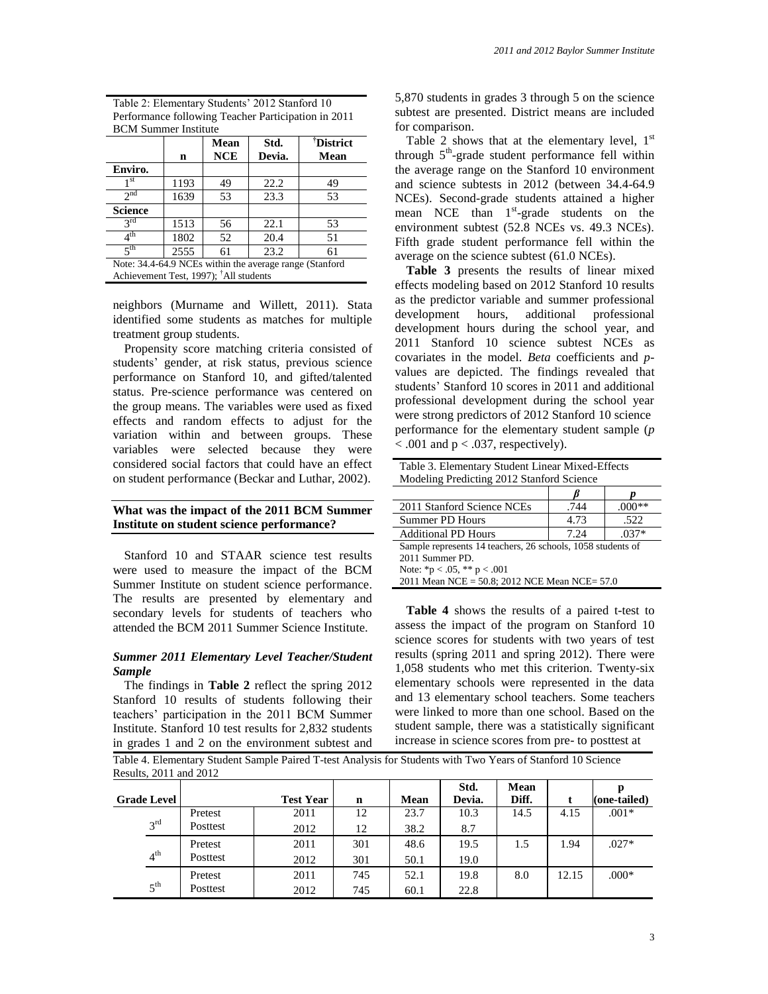Table 2: Elementary Students' 2012 Stanford 10 Performance following Teacher Participation in 2011 BCM Summer Institute

|                                                         |      | Mean       | Std.   | <sup>†</sup> District |  |  |  |  |
|---------------------------------------------------------|------|------------|--------|-----------------------|--|--|--|--|
|                                                         | n    | <b>NCE</b> | Devia. | Mean                  |  |  |  |  |
| Enviro.                                                 |      |            |        |                       |  |  |  |  |
| 1 st                                                    | 1193 | 49         | 22.2   | 49                    |  |  |  |  |
| 2 <sup>nd</sup>                                         | 1639 | 53         | 23.3   | 53                    |  |  |  |  |
| <b>Science</b>                                          |      |            |        |                       |  |  |  |  |
| 2rd                                                     | 1513 | 56         | 22.1   | 53                    |  |  |  |  |
| 4 <sup>th</sup>                                         | 1802 | 52         | 20.4   | 51                    |  |  |  |  |
| $5$ <sup>th</sup>                                       | 2555 | 61         | 23.2   | 61                    |  |  |  |  |
| Note: 34.4-64.9 NCEs within the average range (Stanford |      |            |        |                       |  |  |  |  |
| Achievement Test, 1997); <sup>†</sup> All students      |      |            |        |                       |  |  |  |  |

neighbors (Murname and Willett, 2011). Stata identified some students as matches for multiple treatment group students.

Propensity score matching criteria consisted of students' gender, at risk status, previous science performance on Stanford 10, and gifted/talented status. Pre-science performance was centered on the group means. The variables were used as fixed effects and random effects to adjust for the variation within and between groups. These variables were selected because they were considered social factors that could have an effect on student performance (Beckar and Luthar, 2002).

#### **What was the impact of the 2011 BCM Summer Institute on student science performance?**

Stanford 10 and STAAR science test results were used to measure the impact of the BCM Summer Institute on student science performance. The results are presented by elementary and secondary levels for students of teachers who attended the BCM 2011 Summer Science Institute.

#### *Summer 2011 Elementary Level Teacher/Student Sample*

The findings in **Table 2** reflect the spring 2012 Stanford 10 results of students following their teachers' participation in the 2011 BCM Summer Institute. Stanford 10 test results for 2,832 students in grades 1 and 2 on the environment subtest and 5,870 students in grades 3 through 5 on the science subtest are presented. District means are included for comparison.

Table 2 shows that at the elementary level,  $1<sup>st</sup>$ through  $5<sup>th</sup>$ -grade student performance fell within the average range on the Stanford 10 environment and science subtests in 2012 (between 34.4-64.9 NCEs). Second-grade students attained a higher mean NCE than 1<sup>st</sup>-grade students on the environment subtest (52.8 NCEs vs. 49.3 NCEs). Fifth grade student performance fell within the average on the science subtest (61.0 NCEs).

**Table 3** presents the results of linear mixed effects modeling based on 2012 Stanford 10 results as the predictor variable and summer professional development hours, additional professional development hours during the school year, and 2011 Stanford 10 science subtest NCEs as covariates in the model. *Beta* coefficients and *p*values are depicted. The findings revealed that students' Stanford 10 scores in 2011 and additional professional development during the school year were strong predictors of 2012 Stanford 10 science performance for the elementary student sample (*p*  $< .001$  and  $p < .037$ , respectively).

Table 3. Elementary Student Linear Mixed-Effects Modeling Predicting 2012 Stanford Science *β p* 2011 Stanford Science NCEs 744 .000\*\* Summer PD Hours 1 4.73 .522 Additional PD Hours 7.24 .037\* Sample represents 14 teachers, 26 schools, 1058 students of 2011 Summer PD. Note:  ${}^*p$  < .05,  ${}^*p$  = .001

2011 Mean NCE = 50.8; 2012 NCE Mean NCE= 57.0

**Table 4** shows the results of a paired t-test to assess the impact of the program on Stanford 10 science scores for students with two years of test results (spring 2011 and spring 2012). There were 1,058 students who met this criterion. Twenty-six elementary schools were represented in the data and 13 elementary school teachers. Some teachers were linked to more than one school. Based on the student sample, there was a statistically significant increase in science scores from pre- to posttest at

Table 4. Elementary Student Sample Paired T-test Analysis for Students with Two Years of Stanford 10 Science Results, 2011 and 2012

|                    |          |                  |             |      | Std.   | Mean  |       |              |
|--------------------|----------|------------------|-------------|------|--------|-------|-------|--------------|
| <b>Grade Level</b> |          | <b>Test Year</b> | $\mathbf n$ | Mean | Devia. | Diff. |       | (one-tailed) |
|                    | Pretest  | 2011             | 12          | 23.7 | 10.3   | 14.5  | 4.15  | $.001*$      |
| 2rd                | Posttest | 2012             | 12          | 38.2 | 8.7    |       |       |              |
|                    | Pretest  | 2011             | 301         | 48.6 | 19.5   | 1.5   | . .94 | $.027*$      |
| 4 <sup>th</sup>    | Posttest | 2012             | 301         | 50.1 | 19.0   |       |       |              |
|                    | Pretest  | 2011             | 745         | 52.1 | 19.8   | 8.0   | 12.15 | $.000*$      |
| $5^{\text{th}}$    | Posttest | 2012             | 745         | 60.1 | 22.8   |       |       |              |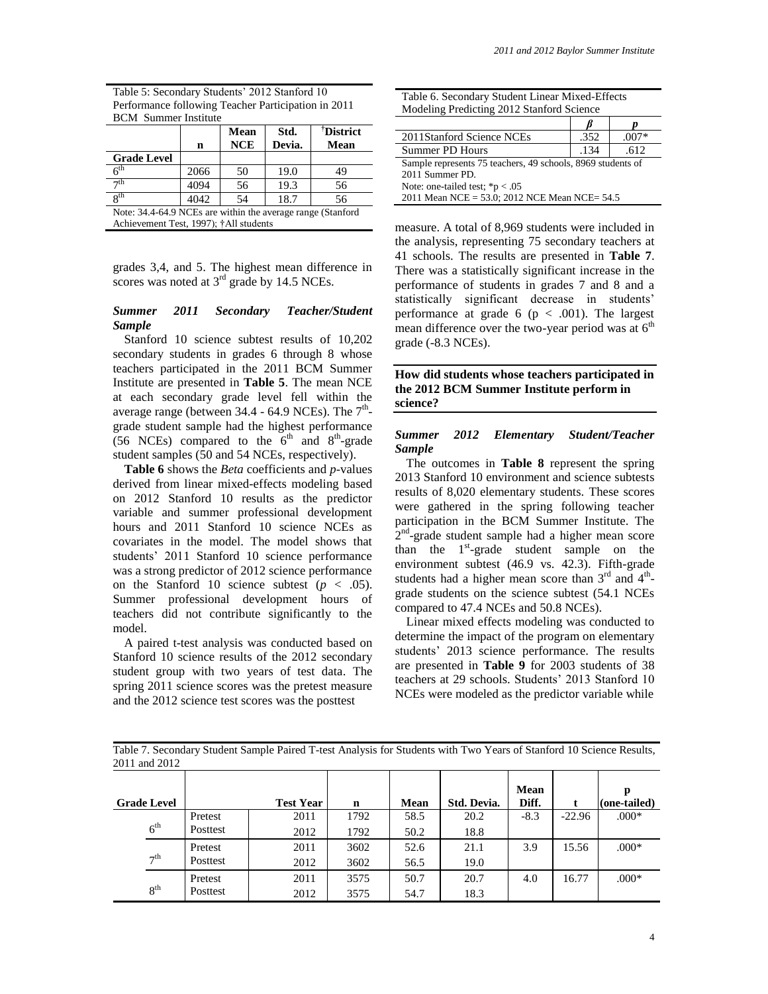| Table 5: Secondary Students' 2012 Stanford 10       |
|-----------------------------------------------------|
| Performance following Teacher Participation in 2011 |
| <b>BCM</b> Summer Institute                         |

|                                                             |      | Mean       | Std.   | <sup>†</sup> District |  |  |  |
|-------------------------------------------------------------|------|------------|--------|-----------------------|--|--|--|
|                                                             | n    | <b>NCE</b> | Devia. | Mean                  |  |  |  |
| <b>Grade Level</b>                                          |      |            |        |                       |  |  |  |
| $\epsilon^{\text{th}}$                                      | 2066 | 50         | 19.0   | 49                    |  |  |  |
| $\neg$ th                                                   | 4094 | 56         | 19.3   | 56                    |  |  |  |
| <b>g</b> th                                                 | 4042 | 54         | 18.7   | 56                    |  |  |  |
| Note: 34.4-64.9 NCEs are within the average range (Stanford |      |            |        |                       |  |  |  |

Achievement Test, 1997); †All students

grades 3,4, and 5. The highest mean difference in scores was noted at  $3<sup>rd</sup>$  grade by 14.5 NCEs.

#### *Summer 2011 Secondary Teacher/Student Sample*

Stanford 10 science subtest results of 10,202 secondary students in grades 6 through 8 whose teachers participated in the 2011 BCM Summer Institute are presented in **Table 5**. The mean NCE at each secondary grade level fell within the average range (between  $34.4 - 64.9$  NCEs). The  $7<sup>th</sup>$ grade student sample had the highest performance (56 NCEs) compared to the  $6<sup>th</sup>$  and  $8<sup>th</sup>$ -grade student samples (50 and 54 NCEs, respectively).

**Table 6** shows the *Beta* coefficients and *p*-values derived from linear mixed-effects modeling based on 2012 Stanford 10 results as the predictor variable and summer professional development hours and 2011 Stanford 10 science NCEs as covariates in the model. The model shows that students' 2011 Stanford 10 science performance was a strong predictor of 2012 science performance on the Stanford 10 science subtest  $(p < .05)$ . Summer professional development hours of teachers did not contribute significantly to the model.

A paired t-test analysis was conducted based on Stanford 10 science results of the 2012 secondary student group with two years of test data. The spring 2011 science scores was the pretest measure and the 2012 science test scores was the posttest

| Table 6. Secondary Student Linear Mixed-Effects |
|-------------------------------------------------|
| Modeling Predicting 2012 Stanford Science       |

| 2011 Stanford Science NCEs                                  | .352 | $.007*$ |
|-------------------------------------------------------------|------|---------|
| Summer PD Hours                                             | .134 | .612    |
| Sample represents 75 teachers, 49 schools, 8969 students of |      |         |
| 2011 Summer PD.                                             |      |         |
| Note: one-tailed test; $*p < .05$                           |      |         |
| 2011 Mean NCE = 53.0; 2012 NCE Mean NCE= 54.5               |      |         |

measure. A total of 8,969 students were included in the analysis, representing 75 secondary teachers at 41 schools. The results are presented in **Table 7**. There was a statistically significant increase in the performance of students in grades 7 and 8 and a statistically significant decrease in students' performance at grade 6 ( $p < .001$ ). The largest mean difference over the two-year period was at  $6<sup>th</sup>$ grade (-8.3 NCEs).

#### **How did students whose teachers participated in the 2012 BCM Summer Institute perform in science?**

#### *Summer 2012 Elementary Student/Teacher Sample*

The outcomes in **Table 8** represent the spring 2013 Stanford 10 environment and science subtests results of 8,020 elementary students. These scores were gathered in the spring following teacher participation in the BCM Summer Institute. The 2<sup>nd</sup>-grade student sample had a higher mean score than the  $1<sup>st</sup>$ -grade student sample on the environment subtest (46.9 vs. 42.3). Fifth-grade students had a higher mean score than  $3<sup>rd</sup>$  and  $4<sup>th</sup>$ grade students on the science subtest (54.1 NCEs compared to 47.4 NCEs and 50.8 NCEs).

Linear mixed effects modeling was conducted to determine the impact of the program on elementary students' 2013 science performance. The results are presented in **Table 9** for 2003 students of 38 teachers at 29 schools. Students' 2013 Stanford 10 NCEs were modeled as the predictor variable while

Table 7. Secondary Student Sample Paired T-test Analysis for Students with Two Years of Stanford 10 Science Results, 2011 and 2012

|                    |          |                  |             |      |             | Mean   |          | р            |
|--------------------|----------|------------------|-------------|------|-------------|--------|----------|--------------|
| <b>Grade Level</b> |          | <b>Test Year</b> | $\mathbf n$ | Mean | Std. Devia. | Diff.  |          | (one-tailed) |
|                    | Pretest  | 2011             | 1792        | 58.5 | 20.2        | $-8.3$ | $-22.96$ | $.000*$      |
| 6 <sup>th</sup>    | Posttest | 2012             | 1792        | 50.2 | 18.8        |        |          |              |
|                    | Pretest  | 2011             | 3602        | 52.6 | 21.1        | 3.9    | 15.56    | $.000*$      |
| 7 <sup>th</sup>    | Posttest | 2012             | 3602        | 56.5 | 19.0        |        |          |              |
|                    | Pretest  | 2011             | 3575        | 50.7 | 20.7        | 4.0    | 16.77    | $.000*$      |
| 8 <sup>th</sup>    | Posttest | 2012             | 3575        | 54.7 | 18.3        |        |          |              |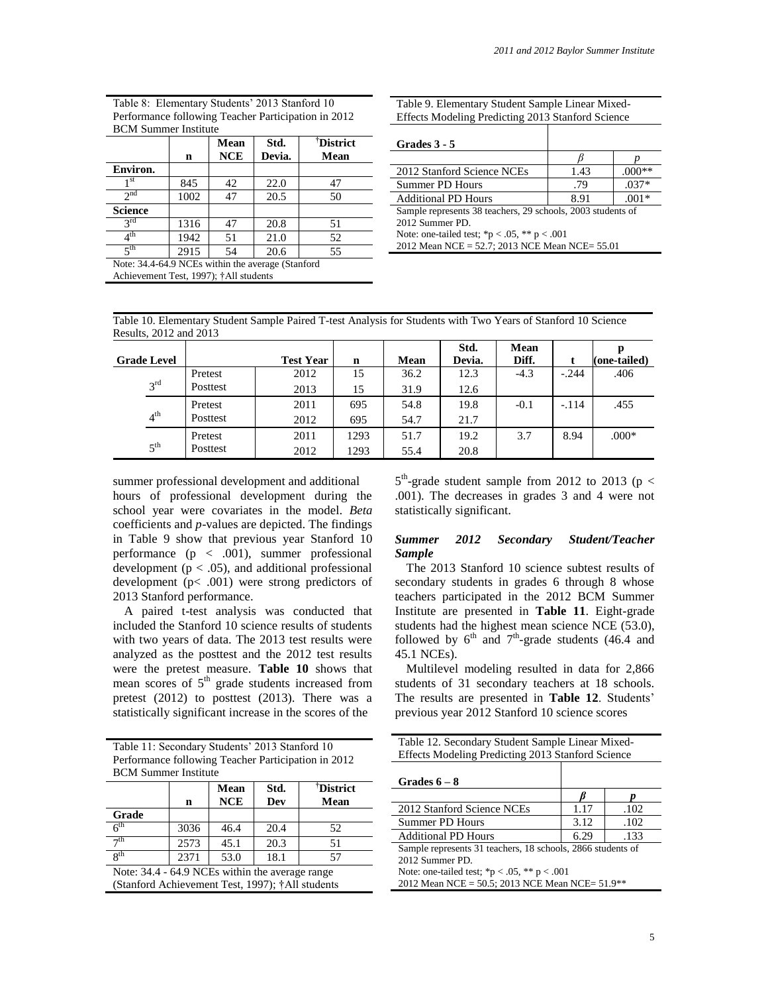| <b>BCM</b> Summer Institute |      |                    |                |                               |  |  |  |  |
|-----------------------------|------|--------------------|----------------|-------------------------------|--|--|--|--|
|                             | n    | Mean<br><b>NCE</b> | Std.<br>Devia. | <sup>†</sup> District<br>Mean |  |  |  |  |
| Environ.                    |      |                    |                |                               |  |  |  |  |
| 1 st                        | 845  | 42                 | 22.0           | 47                            |  |  |  |  |
| 2 <sub>nd</sub>             | 1002 | 47                 | 20.5           | 50                            |  |  |  |  |
| <b>Science</b>              |      |                    |                |                               |  |  |  |  |
| $3^{\text{rd}}$             | 1316 | 47                 | 20.8           | 51                            |  |  |  |  |
| $\overline{4}^{\text{th}}$  | 1942 | 51                 | 21.0           | 52                            |  |  |  |  |
| $\zeta$ th                  | 2915 | 54                 | 20.6           | 55                            |  |  |  |  |

Table 8: Elementary Students' 2013 Stanford 10 Performance following Teacher Participation in 2012 BCM Summer Institute

Note: 34.4-64.9 NCEs within the average (Stanford

Achievement Test, 1997); †All students

Table 9. Elementary Student Sample Linear Mixed-Effects Modeling Predicting 2013 Stanford Science

**Grades 3 - 5**

| 1.43                                                        | $.000**$                                       |  |  |  |  |  |
|-------------------------------------------------------------|------------------------------------------------|--|--|--|--|--|
| .79                                                         | $.037*$                                        |  |  |  |  |  |
| 8.91                                                        | $.001*$                                        |  |  |  |  |  |
| Sample represents 38 teachers, 29 schools, 2003 students of |                                                |  |  |  |  |  |
| 2012 Summer PD.                                             |                                                |  |  |  |  |  |
| Note: one-tailed test; *p < .05, ** p < .001                |                                                |  |  |  |  |  |
|                                                             |                                                |  |  |  |  |  |
|                                                             | 2012 Mean NCE = 52.7; 2013 NCE Mean NCE= 55.01 |  |  |  |  |  |

Table 10. Elementary Student Sample Paired T-test Analysis for Students with Two Years of Stanford 10 Science Results, 2012 and 2013

|                    |                      |          |                  |      |      | Std.   | Mean   |         |              |
|--------------------|----------------------|----------|------------------|------|------|--------|--------|---------|--------------|
| <b>Grade Level</b> |                      |          | <b>Test Year</b> | n    | Mean | Devia. | Diff.  |         | (one-tailed) |
|                    |                      | Pretest  | 2012             | 15   | 36.2 | 12.3   | $-4.3$ | $-.244$ | .406         |
|                    | $2^{\text{rd}}$      | Posttest | 2013             | 15   | 31.9 | 12.6   |        |         |              |
|                    |                      | Pretest  | 2011             | 695  | 54.8 | 19.8   | $-0.1$ | $-.114$ | .455         |
|                    | 4 <sup>th</sup>      | Posttest | 2012             | 695  | 54.7 | 21.7   |        |         |              |
|                    |                      | Pretest  | 2011             | 1293 | 51.7 | 19.2   | 3.7    | 8.94    | $.000*$      |
|                    | $\leq$ <sup>th</sup> | Posttest | 2012             | 1293 | 55.4 | 20.8   |        |         |              |

summer professional development and additional hours of professional development during the school year were covariates in the model. *Beta* coefficients and *p*-values are depicted. The findings in Table 9 show that previous year Stanford 10 performance  $(p < .001)$ , summer professional development ( $p < .05$ ), and additional professional development (p< .001) were strong predictors of 2013 Stanford performance.

A paired t-test analysis was conducted that included the Stanford 10 science results of students with two years of data. The 2013 test results were analyzed as the posttest and the 2012 test results were the pretest measure. **Table 10** shows that mean scores of  $5<sup>th</sup>$  grade students increased from pretest (2012) to posttest (2013). There was a statistically significant increase in the scores of the

| Table 11: Secondary Students' 2013 Stanford 10      |
|-----------------------------------------------------|
| Performance following Teacher Participation in 2012 |
| <b>BCM</b> Summer Institute                         |

|                                                  |      | <b>Mean</b> | Std. | <sup>†</sup> District |  |  |  |
|--------------------------------------------------|------|-------------|------|-----------------------|--|--|--|
|                                                  | n    | <b>NCE</b>  | Dev  | Mean                  |  |  |  |
| Grade                                            |      |             |      |                       |  |  |  |
| 6 <sup>th</sup>                                  | 3036 | 46.4        | 20.4 | 52                    |  |  |  |
| $\neg$ th                                        | 2573 | 45.1        | 20.3 | 51                    |  |  |  |
| $\overline{\mathbf{Q}}$ th                       | 2371 | 53.0        | 18.1 | 57                    |  |  |  |
| Note: 34.4 - 64.9 NCEs within the average range  |      |             |      |                       |  |  |  |
| (Stanford Achievement Test, 1997); †All students |      |             |      |                       |  |  |  |

 $5<sup>th</sup>$ -grade student sample from 2012 to 2013 (p < .001). The decreases in grades 3 and 4 were not statistically significant.

#### *Summer 2012 Secondary Student/Teacher Sample*

The 2013 Stanford 10 science subtest results of secondary students in grades 6 through 8 whose teachers participated in the 2012 BCM Summer Institute are presented in **Table 11**. Eight-grade students had the highest mean science NCE (53.0), followed by  $6^{th}$  and  $7^{th}$ -grade students (46.4 and 45.1 NCEs).

Multilevel modeling resulted in data for 2,866 students of 31 secondary teachers at 18 schools. The results are presented in **Table 12**. Students' previous year 2012 Stanford 10 science scores

| Table 12. Secondary Student Sample Linear Mixed-  |  |
|---------------------------------------------------|--|
| Effects Modeling Predicting 2013 Stanford Science |  |

| Grades $6-8$                                                |      |      |  |  |  |  |
|-------------------------------------------------------------|------|------|--|--|--|--|
|                                                             |      |      |  |  |  |  |
| 2012 Stanford Science NCEs                                  | 1.17 | .102 |  |  |  |  |
| <b>Summer PD Hours</b>                                      | 3.12 | .102 |  |  |  |  |
| <b>Additional PD Hours</b>                                  | 6.29 | .133 |  |  |  |  |
| Sample represents 31 teachers, 18 schools, 2866 students of |      |      |  |  |  |  |
| 2012 Summer PD.                                             |      |      |  |  |  |  |
| Note: one-tailed test; *p < .05, ** p < .001                |      |      |  |  |  |  |
| 2012 Mean NCE = 50.5; 2013 NCE Mean NCE= 51.9**             |      |      |  |  |  |  |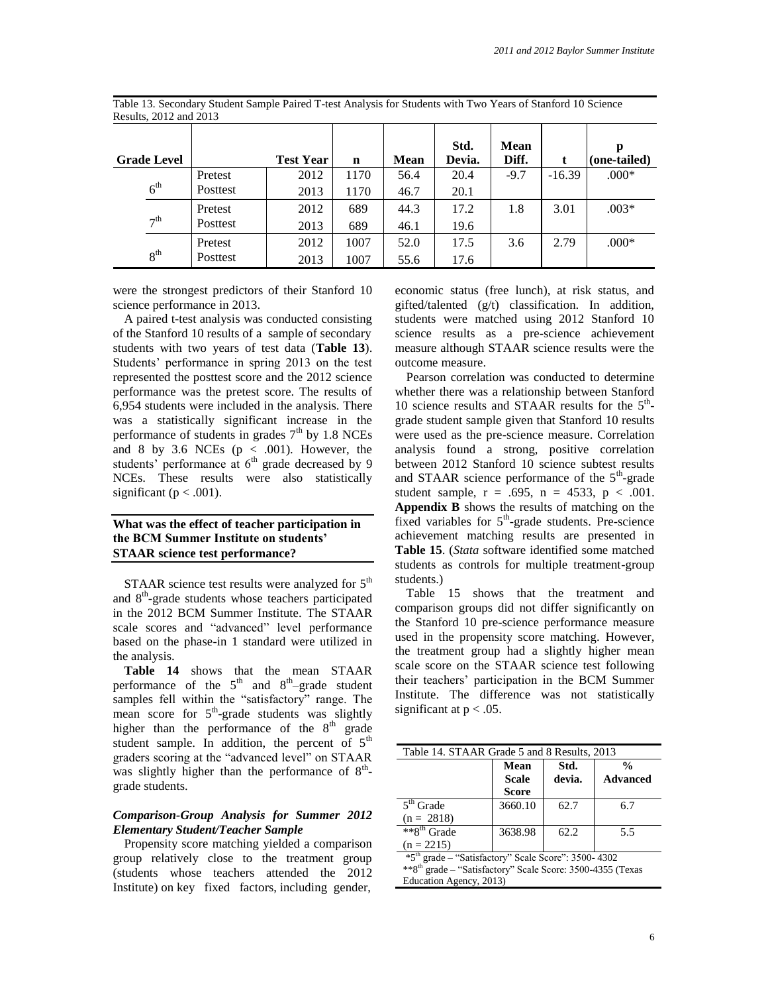|                                                            | <b>Grade Level</b> |          | <b>Test Year</b> | $\mathbf n$ | <b>Mean</b> | Std.<br>Devia. | <b>Mean</b><br>Diff. |          | p<br>(one-tailed) |
|------------------------------------------------------------|--------------------|----------|------------------|-------------|-------------|----------------|----------------------|----------|-------------------|
| 6 <sup>th</sup><br>$\tau$ <sup>th</sup><br>8 <sup>th</sup> |                    | Pretest  | 2012             | 1170        | 56.4        | 20.4           | $-9.7$               | $-16.39$ | $.000*$           |
|                                                            |                    | Posttest | 2013             | 1170        | 46.7        | 20.1           |                      |          |                   |
|                                                            |                    | Pretest  | 2012             | 689         | 44.3        | 17.2           | 1.8                  | 3.01     | $.003*$           |
|                                                            |                    | Posttest | 2013             | 689         | 46.1        | 19.6           |                      |          |                   |
|                                                            |                    | Pretest  | 2012             | 1007        | 52.0        | 17.5           | 3.6                  | 2.79     | $.000*$           |
|                                                            |                    | Posttest | 2013             | 1007        | 55.6        | 17.6           |                      |          |                   |

Table 13. Secondary Student Sample Paired T-test Analysis for Students with Two Years of Stanford 10 Science Results, 2012 and 2013

were the strongest predictors of their Stanford 10 science performance in 2013.

A paired t-test analysis was conducted consisting of the Stanford 10 results of a sample of secondary students with two years of test data (**Table 13**). Students' performance in spring 2013 on the test represented the posttest score and the 2012 science performance was the pretest score. The results of 6,954 students were included in the analysis. There was a statistically significant increase in the performance of students in grades  $7<sup>th</sup>$  by 1.8 NCEs and 8 by 3.6 NCEs  $(p < .001)$ . However, the students' performance at  $6<sup>th</sup>$  grade decreased by 9 NCEs. These results were also statistically significant ( $p < .001$ ).

#### **What was the effect of teacher participation in the BCM Summer Institute on students' STAAR science test performance?**

STAAR science test results were analyzed for  $5<sup>th</sup>$ and 8<sup>th</sup>-grade students whose teachers participated in the 2012 BCM Summer Institute. The STAAR scale scores and "advanced" level performance based on the phase-in 1 standard were utilized in the analysis.

**Table 14** shows that the mean STAAR performance of the  $5<sup>th</sup>$  and  $8<sup>th</sup>$ -grade student samples fell within the "satisfactory" range. The mean score for  $5<sup>th</sup>$ -grade students was slightly higher than the performance of the  $8<sup>th</sup>$  grade student sample. In addition, the percent of  $5<sup>th</sup>$ graders scoring at the "advanced level" on STAAR was slightly higher than the performance of  $8<sup>th</sup>$ grade students.

#### *Comparison-Group Analysis for Summer 2012 Elementary Student/Teacher Sample*

Propensity score matching yielded a comparison group relatively close to the treatment group (students whose teachers attended the 2012 Institute) on key fixed factors, including gender, economic status (free lunch), at risk status, and gifted/talented (g/t) classification. In addition, students were matched using 2012 Stanford 10 science results as a pre-science achievement measure although STAAR science results were the outcome measure.

Pearson correlation was conducted to determine whether there was a relationship between Stanford 10 science results and STAAR results for the  $5<sup>th</sup>$ grade student sample given that Stanford 10 results were used as the pre-science measure. Correlation analysis found a strong, positive correlation between 2012 Stanford 10 science subtest results and STAAR science performance of the  $5<sup>th</sup>$ -grade student sample,  $r = .695$ ,  $n = 4533$ ,  $p < .001$ . **Appendix B** shows the results of matching on the fixed variables for  $5<sup>th</sup>$ -grade students. Pre-science achievement matching results are presented in **Table 15**. (*Stata* software identified some matched students as controls for multiple treatment-group students.)

Table 15 shows that the treatment and comparison groups did not differ significantly on the Stanford 10 pre-science performance measure used in the propensity score matching. However, the treatment group had a slightly higher mean scale score on the STAAR science test following their teachers' participation in the BCM Summer Institute. The difference was not statistically significant at  $p < .05$ .

| Table 14. STAAR Grade 5 and 8 Results, 2013 |                               |                |                                  |  |  |  |  |  |  |
|---------------------------------------------|-------------------------------|----------------|----------------------------------|--|--|--|--|--|--|
|                                             | Mean<br><b>Scale</b><br>Score | Std.<br>devia. | $\frac{0}{n}$<br><b>Advanced</b> |  |  |  |  |  |  |
| $5th$ Grade                                 | 3660.10                       | 62.7           | 6.7                              |  |  |  |  |  |  |
| $(n = 2818)$                                |                               |                |                                  |  |  |  |  |  |  |
| **8 <sup>th</sup> Grade                     | 3638.98                       | 62.2           | 5.5                              |  |  |  |  |  |  |
| $(n = 2215)$                                |                               |                |                                  |  |  |  |  |  |  |

\*5th grade – "Satisfactory" Scale Score": 3500- 4302 \*\*8th grade – "Satisfactory" Scale Score: 3500-4355 (Texas Education Agency, 2013)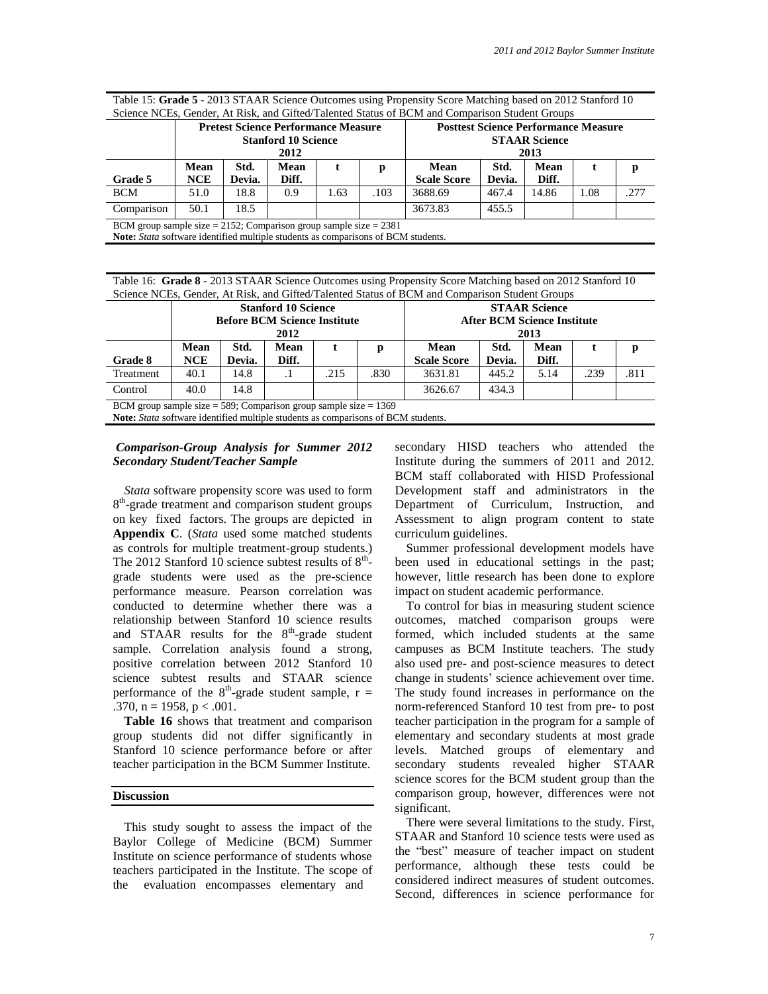Table 15: **Grade 5** - 2013 STAAR Science Outcomes using Propensity Score Matching based on 2012 Stanford 10 Science NCEs, Gender, At Risk, and Gifted/Talented Status of BCM and Comparison Student Groups

|                                                                                                                                                             |                    |                | <b>Pretest Science Performance Measure</b><br><b>Stanford 10 Science</b><br>2012 |      |      |                            |                | <b>Posttest Science Performance Measure</b><br><b>STAAR Science</b><br>2013 |      |      |
|-------------------------------------------------------------------------------------------------------------------------------------------------------------|--------------------|----------------|----------------------------------------------------------------------------------|------|------|----------------------------|----------------|-----------------------------------------------------------------------------|------|------|
| Grade 5                                                                                                                                                     | Mean<br><b>NCE</b> | Std.<br>Devia. | Mean<br>Diff.                                                                    |      | р    | Mean<br><b>Scale Score</b> | Std.<br>Devia. | Mean<br>Diff.                                                               |      | D    |
| <b>BCM</b>                                                                                                                                                  | 51.0               | 18.8           | 0.9                                                                              | 1.63 | .103 | 3688.69                    | 467.4          | 14.86                                                                       | 1.08 | .277 |
| Comparison                                                                                                                                                  | 50.1               | 18.5           |                                                                                  |      |      | 3673.83                    | 455.5          |                                                                             |      |      |
| BCM group sample size $= 2152$ ; Comparison group sample size $= 2381$<br>Note: Stata software identified multiple students as comparisons of BCM students. |                    |                |                                                                                  |      |      |                            |                |                                                                             |      |      |

Table 16: **Grade 8** - 2013 STAAR Science Outcomes using Propensity Score Matching based on 2012 Stanford 10 Science NCEs, Gender, At Risk, and Gifted/Talented Status of BCM and Comparison Student Groups

|                                                                                                                                                                  |                    |                | <b>Stanford 10 Science</b><br><b>Before BCM Science Institute</b><br>2012 |      |      |                            |                | <b>STAAR Science</b><br><b>After BCM Science Institute</b><br>2013 |      |      |
|------------------------------------------------------------------------------------------------------------------------------------------------------------------|--------------------|----------------|---------------------------------------------------------------------------|------|------|----------------------------|----------------|--------------------------------------------------------------------|------|------|
| <b>Grade 8</b>                                                                                                                                                   | Mean<br><b>NCE</b> | Std.<br>Devia. | Mean<br>Diff.                                                             |      | р    | Mean<br><b>Scale Score</b> | Std.<br>Devia. | Mean<br>Diff.                                                      |      |      |
| Treatment                                                                                                                                                        | 40.1               | 14.8           |                                                                           | .215 | .830 | 3631.81                    | 445.2          | 5.14                                                               | .239 | .811 |
| Control                                                                                                                                                          | 40.0               | 14.8           |                                                                           |      |      | 3626.67                    | 434.3          |                                                                    |      |      |
| BCM group sample size $=$ 589; Comparison group sample size $=$ 1369<br>Note: <i>Stata</i> software identified multiple students as comparisons of BCM students. |                    |                |                                                                           |      |      |                            |                |                                                                    |      |      |

#### *Comparison-Group Analysis for Summer 2012 Secondary Student/Teacher Sample*

*Stata* software propensity score was used to form 8<sup>th</sup>-grade treatment and comparison student groups on key fixed factors. The groups are depicted in **Appendix C**. (*Stata* used some matched students as controls for multiple treatment-group students.) The 2012 Stanford 10 science subtest results of  $8<sup>th</sup>$ grade students were used as the pre-science performance measure. Pearson correlation was conducted to determine whether there was a relationship between Stanford 10 science results and STAAR results for the  $8<sup>th</sup>$ -grade student sample. Correlation analysis found a strong, positive correlation between 2012 Stanford 10 science subtest results and STAAR science performance of the  $8<sup>th</sup>$ -grade student sample, r = .370,  $n = 1958$ ,  $p < .001$ .

**Table 16** shows that treatment and comparison group students did not differ significantly in Stanford 10 science performance before or after teacher participation in the BCM Summer Institute.

#### **Discussion**

This study sought to assess the impact of the Baylor College of Medicine (BCM) Summer Institute on science performance of students whose teachers participated in the Institute. The scope of the evaluation encompasses elementary and

secondary HISD teachers who attended the Institute during the summers of 2011 and 2012. BCM staff collaborated with HISD Professional Development staff and administrators in the Department of Curriculum, Instruction, and Assessment to align program content to state curriculum guidelines.

Summer professional development models have been used in educational settings in the past; however, little research has been done to explore impact on student academic performance.

To control for bias in measuring student science outcomes, matched comparison groups were formed, which included students at the same campuses as BCM Institute teachers. The study also used pre- and post-science measures to detect change in students' science achievement over time. The study found increases in performance on the norm-referenced Stanford 10 test from pre- to post teacher participation in the program for a sample of elementary and secondary students at most grade levels. Matched groups of elementary and secondary students revealed higher STAAR science scores for the BCM student group than the comparison group, however, differences were not significant.

There were several limitations to the study. First, STAAR and Stanford 10 science tests were used as the "best" measure of teacher impact on student performance, although these tests could be considered indirect measures of student outcomes. Second, differences in science performance for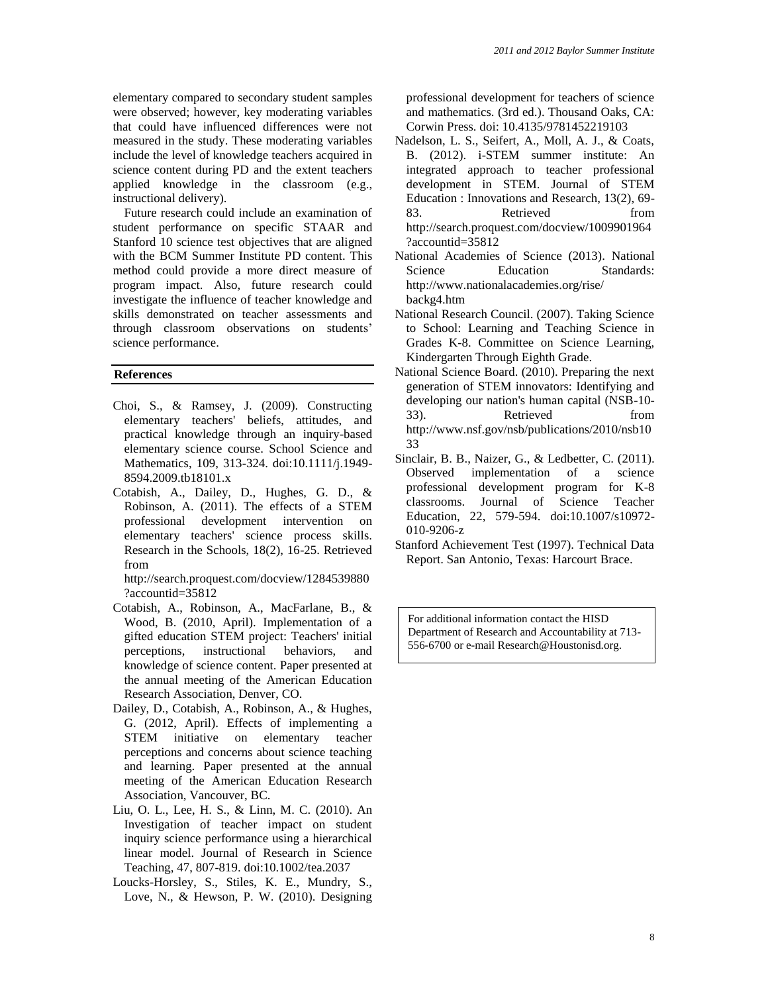elementary compared to secondary student samples were observed; however, key moderating variables that could have influenced differences were not measured in the study. These moderating variables include the level of knowledge teachers acquired in science content during PD and the extent teachers applied knowledge in the classroom (e.g., instructional delivery).

Future research could include an examination of student performance on specific STAAR and Stanford 10 science test objectives that are aligned with the BCM Summer Institute PD content. This method could provide a more direct measure of program impact. Also, future research could investigate the influence of teacher knowledge and skills demonstrated on teacher assessments and through classroom observations on students' science performance.

#### **References**

- Choi, S., & Ramsey, J. (2009). Constructing elementary teachers' beliefs, attitudes, and practical knowledge through an inquiry-based elementary science course. School Science and Mathematics, 109, 313-324. doi:10.1111/j.1949- 8594.2009.tb18101.x
- Cotabish, A., Dailey, D., Hughes, G. D., & Robinson, A. (2011). The effects of a STEM professional development intervention on elementary teachers' science process skills. Research in the Schools, 18(2), 16-25. Retrieved from

http://search.proquest.com/docview/1284539880 ?accountid=35812

- Cotabish, A., Robinson, A., MacFarlane, B., & Wood, B. (2010, April). Implementation of a gifted education STEM project: Teachers' initial perceptions, instructional behaviors, and knowledge of science content. Paper presented at the annual meeting of the American Education Research Association, Denver, CO.
- Dailey, D., Cotabish, A., Robinson, A., & Hughes, G. (2012, April). Effects of implementing a STEM initiative on elementary teacher perceptions and concerns about science teaching and learning. Paper presented at the annual meeting of the American Education Research Association, Vancouver, BC.
- Liu, O. L., Lee, H. S., & Linn, M. C. (2010). An Investigation of teacher impact on student inquiry science performance using a hierarchical linear model. Journal of Research in Science Teaching, 47, 807-819. doi:10.1002/tea.2037
- Loucks-Horsley, S., Stiles, K. E., Mundry, S., Love, N., & Hewson, P. W. (2010). Designing

professional development for teachers of science and mathematics. (3rd ed.). Thousand Oaks, CA: Corwin Press. doi: 10.4135/9781452219103

- Nadelson, L. S., Seifert, A., Moll, A. J., & Coats, B. (2012). i-STEM summer institute: An integrated approach to teacher professional development in STEM. Journal of STEM Education : Innovations and Research, 13(2), 69- 83. Retrieved from http://search.proquest.com/docview/1009901964 ?accountid=35812
- National Academies of Science (2013). National Science Education Standards: http://www.nationalacademies.org/rise/ backg4.htm
- National Research Council. (2007). Taking Science to School: Learning and Teaching Science in Grades K-8. Committee on Science Learning, Kindergarten Through Eighth Grade.
- National Science Board. (2010). Preparing the next generation of STEM innovators: Identifying and developing our nation's human capital (NSB-10- 33). Retrieved from http://www.nsf.gov/nsb/publications/2010/nsb10 33
- Sinclair, B. B., Naizer, G., & Ledbetter, C. (2011). Observed implementation of a science professional development program for K-8 classrooms. Journal of Science Teacher Education, 22, 579-594. doi:10.1007/s10972- 010-9206-z
- Stanford Achievement Test (1997). Technical Data Report. San Antonio, Texas: Harcourt Brace.

For additional information contact the HISD Department of Research and Accountability at 713- 556-6700 or e-mail Research@Houstonisd.org.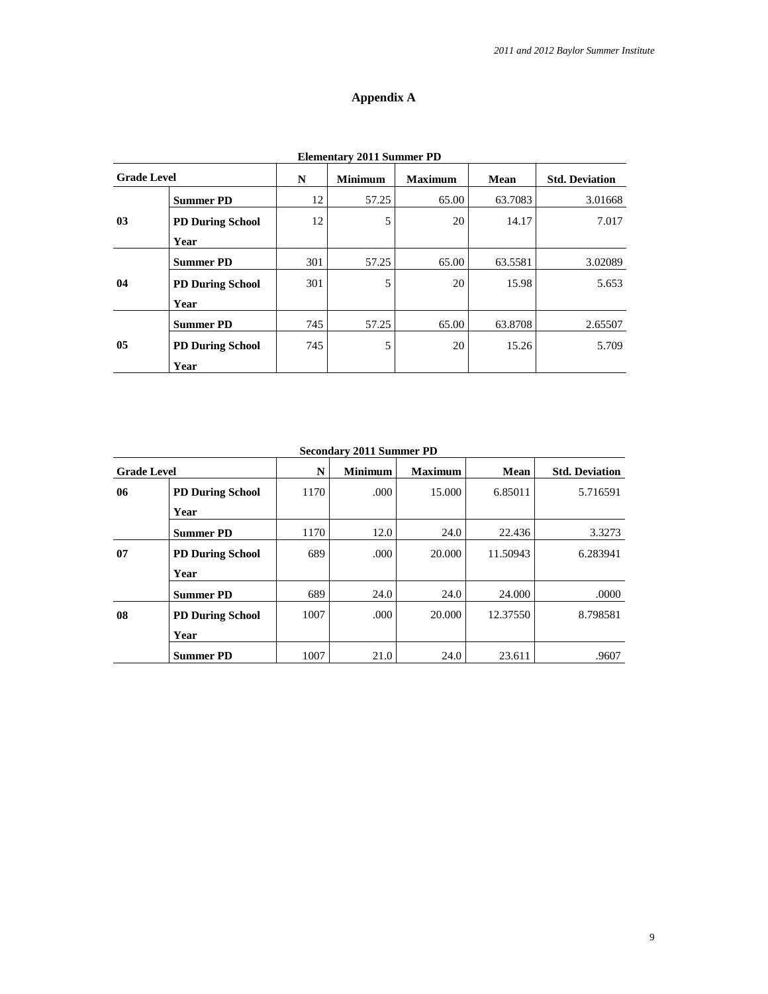### **Appendix A**

| <b>Elementary 2011 Summer PD</b> |                         |     |                |                |         |                       |  |  |  |
|----------------------------------|-------------------------|-----|----------------|----------------|---------|-----------------------|--|--|--|
| <b>Grade Level</b>               |                         | N   | <b>Minimum</b> | <b>Maximum</b> | Mean    | <b>Std. Deviation</b> |  |  |  |
|                                  | <b>Summer PD</b>        | 12  | 57.25          | 65.00          | 63.7083 | 3.01668               |  |  |  |
| 03                               | <b>PD During School</b> | 12  | 5              | 20             | 14.17   | 7.017                 |  |  |  |
|                                  | Year                    |     |                |                |         |                       |  |  |  |
|                                  | <b>Summer PD</b>        | 301 | 57.25          | 65.00          | 63.5581 | 3.02089               |  |  |  |
| 04                               | <b>PD During School</b> | 301 | 5              | 20             | 15.98   | 5.653                 |  |  |  |
|                                  | Year                    |     |                |                |         |                       |  |  |  |
| 05                               | <b>Summer PD</b>        | 745 | 57.25          | 65.00          | 63.8708 | 2.65507               |  |  |  |
|                                  | <b>PD During School</b> | 745 | 5              | 20             | 15.26   | 5.709                 |  |  |  |
|                                  | Year                    |     |                |                |         |                       |  |  |  |

| <b>Grade Level</b> |                         | N    | <b>Minimum</b> | <b>Maximum</b> | Mean     | <b>Std. Deviation</b> |
|--------------------|-------------------------|------|----------------|----------------|----------|-----------------------|
| 06                 | <b>PD During School</b> | 1170 | .000           | 15.000         | 6.85011  | 5.716591              |
|                    | Year                    |      |                |                |          |                       |
|                    | <b>Summer PD</b>        | 1170 | 12.0           | 24.0           | 22.436   | 3.3273                |
| 07                 | <b>PD During School</b> | 689  | .000           | 20,000         | 11.50943 | 6.283941              |
|                    | Year                    |      |                |                |          |                       |
|                    | <b>Summer PD</b>        | 689  | 24.0           | 24.0           | 24,000   | .0000                 |
| 08                 | <b>PD During School</b> | 1007 | .000.          | 20,000         | 12.37550 | 8.798581              |
|                    | Year                    |      |                |                |          |                       |
|                    | <b>Summer PD</b>        | 1007 | 21.0           | 24.0           | 23.611   | .9607                 |

**Secondary 2011 Summer PD**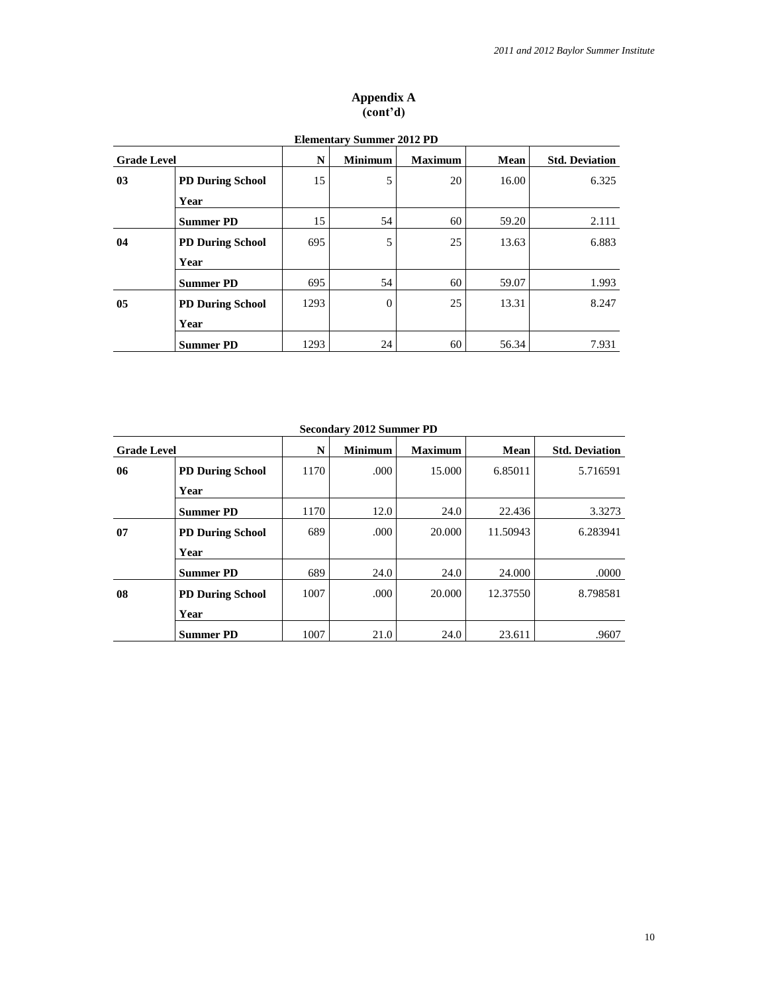#### **Appendix A (cont'd)**

|                    | <b>Elementary Summer 2012 PD</b> |      |                |                |       |                       |  |  |
|--------------------|----------------------------------|------|----------------|----------------|-------|-----------------------|--|--|
| <b>Grade Level</b> |                                  | N    | <b>Minimum</b> | <b>Maximum</b> | Mean  | <b>Std. Deviation</b> |  |  |
| 03                 | <b>PD During School</b>          | 15   | 5              | 20             | 16.00 | 6.325                 |  |  |
|                    | Year                             |      |                |                |       |                       |  |  |
|                    | <b>Summer PD</b>                 | 15   | 54             | 60             | 59.20 | 2.111                 |  |  |
| 04                 | <b>PD During School</b>          | 695  | 5              | 25             | 13.63 | 6.883                 |  |  |
|                    | Year                             |      |                |                |       |                       |  |  |
|                    | <b>Summer PD</b>                 | 695  | 54             | 60             | 59.07 | 1.993                 |  |  |
| 0 <sub>5</sub>     | <b>PD During School</b>          | 1293 | $\theta$       | 25             | 13.31 | 8.247                 |  |  |
|                    | Year                             |      |                |                |       |                       |  |  |
|                    | <b>Summer PD</b>                 | 1293 | 24             | 60             | 56.34 | 7.931                 |  |  |

# **Elementary Summer 2012 PD**

**Secondary 2012 Summer PD**

| <b>Grade Level</b> |                         | N    | <b>Minimum</b> | <b>Maximum</b> | Mean     | <b>Std. Deviation</b> |
|--------------------|-------------------------|------|----------------|----------------|----------|-----------------------|
| 06                 | <b>PD During School</b> | 1170 | .000           | 15.000         | 6.85011  | 5.716591              |
|                    | Year                    |      |                |                |          |                       |
|                    | <b>Summer PD</b>        | 1170 | 12.0           | 24.0           | 22.436   | 3.3273                |
| 07                 | <b>PD During School</b> | 689  | .000           | 20.000         | 11.50943 | 6.283941              |
|                    | Year                    |      |                |                |          |                       |
|                    | <b>Summer PD</b>        | 689  | 24.0           | 24.0           | 24.000   | .0000                 |
| 08                 | <b>PD During School</b> | 1007 | .000           | 20,000         | 12.37550 | 8.798581              |
|                    | Year                    |      |                |                |          |                       |
|                    | <b>Summer PD</b>        | 1007 | 21.0           | 24.0           | 23.611   | .9607                 |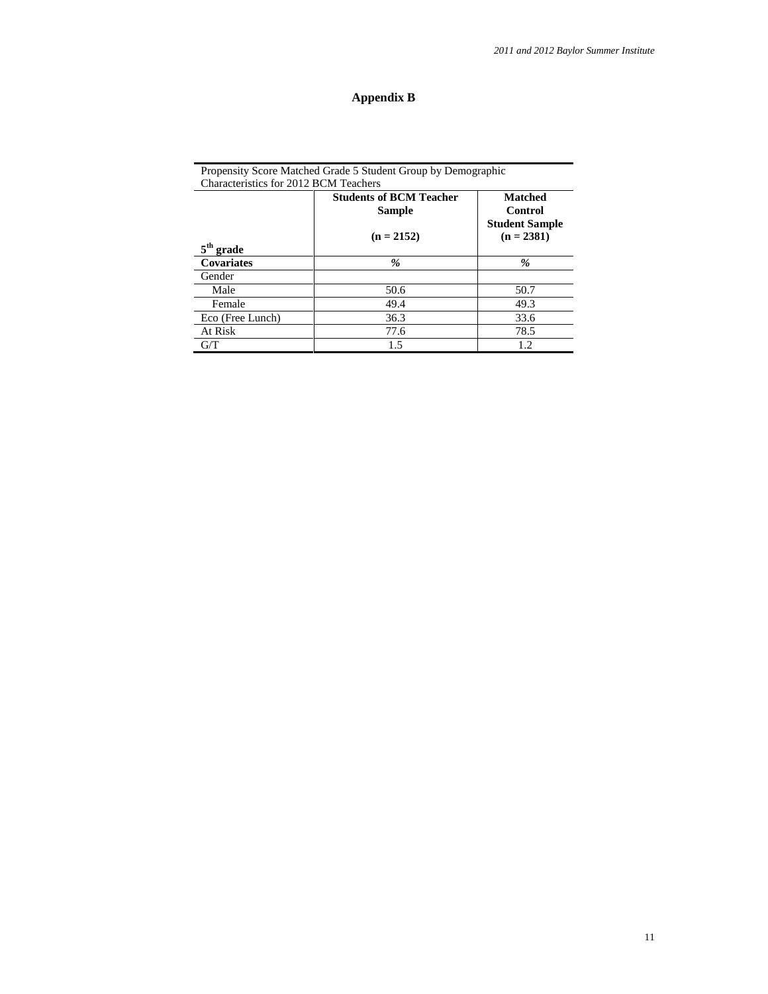# **Appendix B**

| Characteristics for 2012 BCM Teachers |                                          |                                                           |  |  |  |  |  |  |
|---------------------------------------|------------------------------------------|-----------------------------------------------------------|--|--|--|--|--|--|
|                                       | <b>Students of BCM Teacher</b><br>Sample | <b>Matched</b><br><b>Control</b><br><b>Student Sample</b> |  |  |  |  |  |  |
| $5th$ grade                           | $(n = 2152)$                             | $(n = 2381)$                                              |  |  |  |  |  |  |
| Covariates                            | %                                        | %                                                         |  |  |  |  |  |  |
| Gender                                |                                          |                                                           |  |  |  |  |  |  |
| Male                                  | 50.6                                     | 50.7                                                      |  |  |  |  |  |  |
| Female                                | 49.4                                     | 49.3                                                      |  |  |  |  |  |  |
| Eco (Free Lunch)                      | 36.3                                     | 33.6                                                      |  |  |  |  |  |  |
| At Risk                               | 77.6                                     | 78.5                                                      |  |  |  |  |  |  |
| G/T                                   | 1.5                                      | 1.2                                                       |  |  |  |  |  |  |

Propensity Score Matched Grade 5 Student Group by Demographic